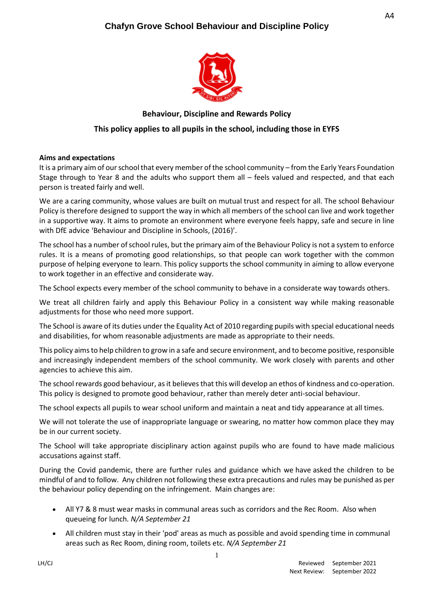

## **Behaviour, Discipline and Rewards Policy**

## **This policy applies to all pupils in the school, including those in EYFS**

#### **Aims and expectations**

It is a primary aim of our school that every member of the school community – from the Early Years Foundation Stage through to Year 8 and the adults who support them all – feels valued and respected, and that each person is treated fairly and well.

We are a caring community, whose values are built on mutual trust and respect for all. The school Behaviour Policy is therefore designed to support the way in which all members of the school can live and work together in a supportive way. It aims to promote an environment where everyone feels happy, safe and secure in line with DfE advice 'Behaviour and Discipline in Schools, (2016)'.

The school has a number of school rules, but the primary aim of the Behaviour Policy is not a system to enforce rules. It is a means of promoting good relationships, so that people can work together with the common purpose of helping everyone to learn. This policy supports the school community in aiming to allow everyone to work together in an effective and considerate way.

The School expects every member of the school community to behave in a considerate way towards others.

We treat all children fairly and apply this Behaviour Policy in a consistent way while making reasonable adjustments for those who need more support.

The School is aware of its duties under the Equality Act of 2010 regarding pupils with special educational needs and disabilities, for whom reasonable adjustments are made as appropriate to their needs.

This policy aims to help children to grow in a safe and secure environment, and to become positive, responsible and increasingly independent members of the school community. We work closely with parents and other agencies to achieve this aim.

The school rewards good behaviour, as it believes that this will develop an ethos of kindness and co-operation. This policy is designed to promote good behaviour, rather than merely deter anti-social behaviour.

The school expects all pupils to wear school uniform and maintain a neat and tidy appearance at all times.

We will not tolerate the use of inappropriate language or swearing, no matter how common place they may be in our current society.

The School will take appropriate disciplinary action against pupils who are found to have made malicious accusations against staff.

During the Covid pandemic, there are further rules and guidance which we have asked the children to be mindful of and to follow. Any children not following these extra precautions and rules may be punished as per the behaviour policy depending on the infringement. Main changes are:

- All Y7 & 8 must wear masks in communal areas such as corridors and the Rec Room. Also when queueing for lunch*. N/A September 21*
- All children must stay in their 'pod' areas as much as possible and avoid spending time in communal areas such as Rec Room, dining room, toilets etc. *N/A September 21*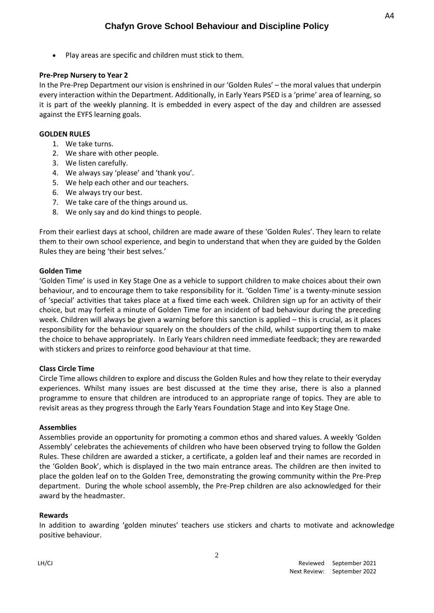• Play areas are specific and children must stick to them.

### **Pre-Prep Nursery to Year 2**

In the Pre-Prep Department our vision is enshrined in our 'Golden Rules' – the moral values that underpin every interaction within the Department. Additionally, in Early Years PSED is a 'prime' area of learning, so it is part of the weekly planning. It is embedded in every aspect of the day and children are assessed against the EYFS learning goals.

#### **GOLDEN RULES**

- 1. We take turns.
- 2. We share with other people.
- 3. We listen carefully.
- 4. We always say 'please' and 'thank you'.
- 5. We help each other and our teachers.
- 6. We always try our best.
- 7. We take care of the things around us.
- 8. We only say and do kind things to people.

From their earliest days at school, children are made aware of these 'Golden Rules'. They learn to relate them to their own school experience, and begin to understand that when they are guided by the Golden Rules they are being 'their best selves.'

### **Golden Time**

'Golden Time' is used in Key Stage One as a vehicle to support children to make choices about their own behaviour, and to encourage them to take responsibility for it. 'Golden Time' is a twenty-minute session of 'special' activities that takes place at a fixed time each week. Children sign up for an activity of their choice, but may forfeit a minute of Golden Time for an incident of bad behaviour during the preceding week. Children will always be given a warning before this sanction is applied – this is crucial, as it places responsibility for the behaviour squarely on the shoulders of the child, whilst supporting them to make the choice to behave appropriately. In Early Years children need immediate feedback; they are rewarded with stickers and prizes to reinforce good behaviour at that time.

### **Class Circle Time**

Circle Time allows children to explore and discuss the Golden Rules and how they relate to their everyday experiences. Whilst many issues are best discussed at the time they arise, there is also a planned programme to ensure that children are introduced to an appropriate range of topics. They are able to revisit areas as they progress through the Early Years Foundation Stage and into Key Stage One.

#### **Assemblies**

Assemblies provide an opportunity for promoting a common ethos and shared values. A weekly 'Golden Assembly' celebrates the achievements of children who have been observed trying to follow the Golden Rules. These children are awarded a sticker, a certificate, a golden leaf and their names are recorded in the 'Golden Book', which is displayed in the two main entrance areas. The children are then invited to place the golden leaf on to the Golden Tree, demonstrating the growing community within the Pre-Prep department. During the whole school assembly, the Pre-Prep children are also acknowledged for their award by the headmaster.

#### **Rewards**

In addition to awarding 'golden minutes' teachers use stickers and charts to motivate and acknowledge positive behaviour.

2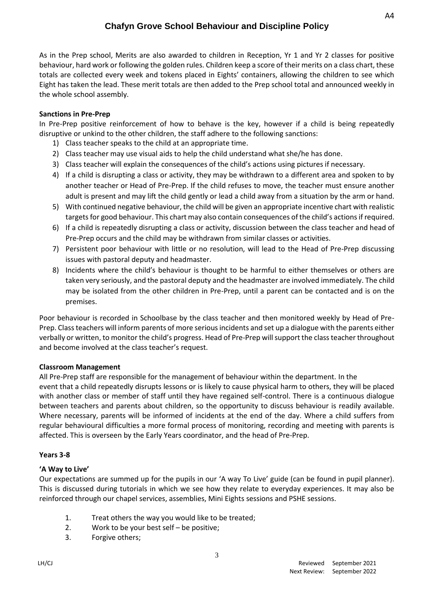As in the Prep school, Merits are also awarded to children in Reception, Yr 1 and Yr 2 classes for positive behaviour, hard work or following the golden rules. Children keep a score of their merits on a class chart, these totals are collected every week and tokens placed in Eights' containers, allowing the children to see which Eight has taken the lead. These merit totals are then added to the Prep school total and announced weekly in the whole school assembly.

## **Sanctions in Pre-Prep**

In Pre-Prep positive reinforcement of how to behave is the key, however if a child is being repeatedly disruptive or unkind to the other children, the staff adhere to the following sanctions:

- 1) Class teacher speaks to the child at an appropriate time.
- 2) Class teacher may use visual aids to help the child understand what she/he has done.
- 3) Class teacher will explain the consequences of the child's actions using pictures if necessary.
- 4) If a child is disrupting a class or activity, they may be withdrawn to a different area and spoken to by another teacher or Head of Pre-Prep. If the child refuses to move, the teacher must ensure another adult is present and may lift the child gently or lead a child away from a situation by the arm or hand.
- 5) With continued negative behaviour, the child will be given an appropriate incentive chart with realistic targets for good behaviour. This chart may also contain consequences of the child's actions if required.
- 6) If a child is repeatedly disrupting a class or activity, discussion between the class teacher and head of Pre-Prep occurs and the child may be withdrawn from similar classes or activities.
- 7) Persistent poor behaviour with little or no resolution, will lead to the Head of Pre-Prep discussing issues with pastoral deputy and headmaster.
- 8) Incidents where the child's behaviour is thought to be harmful to either themselves or others are taken very seriously, and the pastoral deputy and the headmaster are involved immediately. The child may be isolated from the other children in Pre-Prep, until a parent can be contacted and is on the premises.

Poor behaviour is recorded in Schoolbase by the class teacher and then monitored weekly by Head of Pre-Prep. Class teachers will inform parents of more serious incidents and set up a dialogue with the parents either verbally or written, to monitor the child's progress. Head of Pre-Prep will support the class teacher throughout and become involved at the class teacher's request.

## **Classroom Management**

All Pre-Prep staff are responsible for the management of behaviour within the department. In the event that a child repeatedly disrupts lessons or is likely to cause physical harm to others, they will be placed with another class or member of staff until they have regained self-control. There is a continuous dialogue between teachers and parents about children, so the opportunity to discuss behaviour is readily available. Where necessary, parents will be informed of incidents at the end of the day. Where a child suffers from regular behavioural difficulties a more formal process of monitoring, recording and meeting with parents is affected. This is overseen by the Early Years coordinator, and the head of Pre-Prep.

### **Years 3-8**

## **'A Way to Live'**

Our expectations are summed up for the pupils in our 'A way To Live' guide (can be found in pupil planner). This is discussed during tutorials in which we see how they relate to everyday experiences. It may also be reinforced through our chapel services, assemblies, Mini Eights sessions and PSHE sessions.

- 1. Treat others the way you would like to be treated;
- 2. Work to be your best self be positive;
- 3. Forgive others;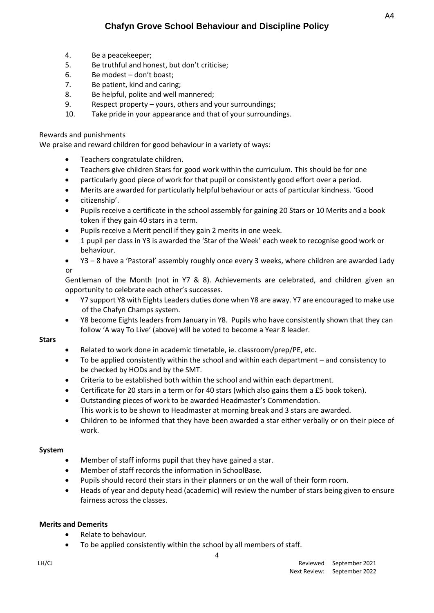- 4. Be a peacekeeper;
- 5. Be truthful and honest, but don't criticise;
- 6. Be modest don't boast;
- 7. Be patient, kind and caring;
- 8. Be helpful, polite and well mannered;
- 9. Respect property yours, others and your surroundings;
- 10. Take pride in your appearance and that of your surroundings.

#### Rewards and punishments

We praise and reward children for good behaviour in a variety of ways:

- Teachers congratulate children.
- Teachers give children Stars for good work within the curriculum. This should be for one
- particularly good piece of work for that pupil or consistently good effort over a period.
- Merits are awarded for particularly helpful behaviour or acts of particular kindness. 'Good
- citizenship'.
- Pupils receive a certificate in the school assembly for gaining 20 Stars or 10 Merits and a book token if they gain 40 stars in a term.
- Pupils receive a Merit pencil if they gain 2 merits in one week.
- 1 pupil per class in Y3 is awarded the 'Star of the Week' each week to recognise good work or behaviour.
- Y3 8 have a 'Pastoral' assembly roughly once every 3 weeks, where children are awarded Lady or

Gentleman of the Month (not in Y7 & 8). Achievements are celebrated, and children given an opportunity to celebrate each other's successes.

- Y7 support Y8 with Eights Leaders duties done when Y8 are away. Y7 are encouraged to make use of the Chafyn Champs system.
- Y8 become Eights leaders from January in Y8. Pupils who have consistently shown that they can follow 'A way To Live' (above) will be voted to become a Year 8 leader.

#### **Stars**

- Related to work done in academic timetable, ie. classroom/prep/PE, etc.
- To be applied consistently within the school and within each department and consistency to be checked by HODs and by the SMT.
- Criteria to be established both within the school and within each department.
- Certificate for 20 stars in a term or for 40 stars (which also gains them a £5 book token).
- Outstanding pieces of work to be awarded Headmaster's Commendation. This work is to be shown to Headmaster at morning break and 3 stars are awarded.
- Children to be informed that they have been awarded a star either verbally or on their piece of work.

### **System**

- Member of staff informs pupil that they have gained a star.
- Member of staff records the information in SchoolBase.
- Pupils should record their stars in their planners or on the wall of their form room.
- Heads of year and deputy head (academic) will review the number of stars being given to ensure fairness across the classes.

### **Merits and Demerits**

- Relate to behaviour.
- To be applied consistently within the school by all members of staff.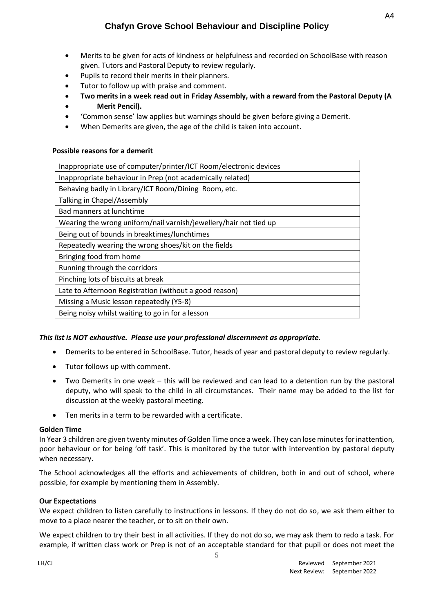- Merits to be given for acts of kindness or helpfulness and recorded on SchoolBase with reason given. Tutors and Pastoral Deputy to review regularly.
- Pupils to record their merits in their planners.
- Tutor to follow up with praise and comment.
- **Two merits in a week read out in Friday Assembly, with a reward from the Pastoral Deputy (A**  • **Merit Pencil).**
- 'Common sense' law applies but warnings should be given before giving a Demerit.
- When Demerits are given, the age of the child is taken into account.

### **Possible reasons for a demerit**

| Inappropriate use of computer/printer/ICT Room/electronic devices |
|-------------------------------------------------------------------|
| Inappropriate behaviour in Prep (not academically related)        |
| Behaving badly in Library/ICT Room/Dining Room, etc.              |
| Talking in Chapel/Assembly                                        |
| Bad manners at lunchtime                                          |
| Wearing the wrong uniform/nail varnish/jewellery/hair not tied up |
| Being out of bounds in breaktimes/lunchtimes                      |
| Repeatedly wearing the wrong shoes/kit on the fields              |
| Bringing food from home                                           |
| Running through the corridors                                     |
| Pinching lots of biscuits at break                                |
| Late to Afternoon Registration (without a good reason)            |
| Missing a Music lesson repeatedly (Y5-8)                          |
| Being noisy whilst waiting to go in for a lesson                  |

## *This list is NOT exhaustive. Please use your professional discernment as appropriate.*

- Demerits to be entered in SchoolBase. Tutor, heads of year and pastoral deputy to review regularly.
- Tutor follows up with comment.
- Two Demerits in one week this will be reviewed and can lead to a detention run by the pastoral deputy, who will speak to the child in all circumstances. Their name may be added to the list for discussion at the weekly pastoral meeting.
- Ten merits in a term to be rewarded with a certificate.

### **Golden Time**

In Year 3 children are given twenty minutes of Golden Time once a week. They can lose minutes for inattention, poor behaviour or for being 'off task'. This is monitored by the tutor with intervention by pastoral deputy when necessary.

The School acknowledges all the efforts and achievements of children, both in and out of school, where possible, for example by mentioning them in Assembly.

### **Our Expectations**

We expect children to listen carefully to instructions in lessons. If they do not do so, we ask them either to move to a place nearer the teacher, or to sit on their own.

We expect children to try their best in all activities. If they do not do so, we may ask them to redo a task. For example, if written class work or Prep is not of an acceptable standard for that pupil or does not meet the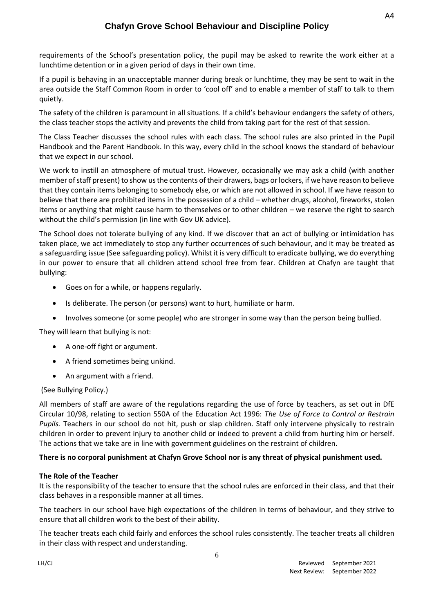requirements of the School's presentation policy, the pupil may be asked to rewrite the work either at a lunchtime detention or in a given period of days in their own time.

If a pupil is behaving in an unacceptable manner during break or lunchtime, they may be sent to wait in the area outside the Staff Common Room in order to 'cool off' and to enable a member of staff to talk to them quietly.

The safety of the children is paramount in all situations. If a child's behaviour endangers the safety of others, the class teacher stops the activity and prevents the child from taking part for the rest of that session.

The Class Teacher discusses the school rules with each class. The school rules are also printed in the Pupil Handbook and the Parent Handbook. In this way, every child in the school knows the standard of behaviour that we expect in our school.

We work to instill an atmosphere of mutual trust. However, occasionally we may ask a child (with another member of staff present) to show us the contents of their drawers, bags or lockers, if we have reason to believe that they contain items belonging to somebody else, or which are not allowed in school. If we have reason to believe that there are prohibited items in the possession of a child – whether drugs, alcohol, fireworks, stolen items or anything that might cause harm to themselves or to other children – we reserve the right to search without the child's permission (in line with Gov UK advice).

The School does not tolerate bullying of any kind. If we discover that an act of bullying or intimidation has taken place, we act immediately to stop any further occurrences of such behaviour, and it may be treated as a safeguarding issue (See safeguarding policy). Whilst it is very difficult to eradicate bullying, we do everything in our power to ensure that all children attend school free from fear. Children at Chafyn are taught that bullying:

- Goes on for a while, or happens regularly.
- Is deliberate. The person (or persons) want to hurt, humiliate or harm.
- Involves someone (or some people) who are stronger in some way than the person being bullied.

They will learn that bullying is not:

- A one-off fight or argument.
- A friend sometimes being unkind.
- An argument with a friend.

### (See Bullying Policy.)

All members of staff are aware of the regulations regarding the use of force by teachers, as set out in DfE Circular 10/98, relating to section 550A of the Education Act 1996: *The Use of Force to Control or Restrain Pupils.* Teachers in our school do not hit, push or slap children. Staff only intervene physically to restrain children in order to prevent injury to another child or indeed to prevent a child from hurting him or herself. The actions that we take are in line with government guidelines on the restraint of children.

### **There is no corporal punishment at Chafyn Grove School nor is any threat of physical punishment used.**

### **The Role of the Teacher**

It is the responsibility of the teacher to ensure that the school rules are enforced in their class, and that their class behaves in a responsible manner at all times.

The teachers in our school have high expectations of the children in terms of behaviour, and they strive to ensure that all children work to the best of their ability.

The teacher treats each child fairly and enforces the school rules consistently. The teacher treats all children in their class with respect and understanding.

A4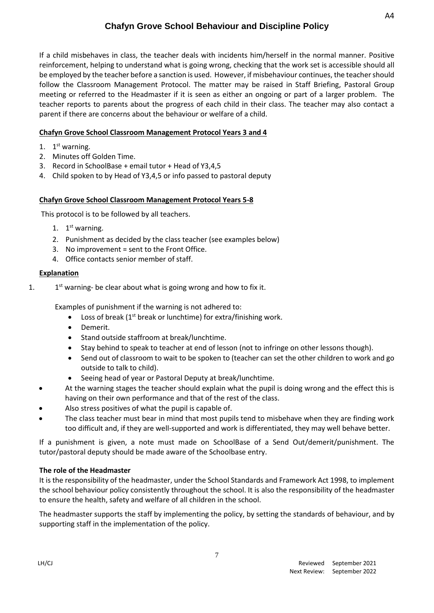If a child misbehaves in class, the teacher deals with incidents him/herself in the normal manner. Positive reinforcement, helping to understand what is going wrong, checking that the work set is accessible should all be employed by the teacher before a sanction is used. However, if misbehaviour continues, the teacher should follow the Classroom Management Protocol. The matter may be raised in Staff Briefing, Pastoral Group meeting or referred to the Headmaster if it is seen as either an ongoing or part of a larger problem. The teacher reports to parents about the progress of each child in their class. The teacher may also contact a parent if there are concerns about the behaviour or welfare of a child.

# **Chafyn Grove School Classroom Management Protocol Years 3 and 4**

- 1. 1<sup>st</sup> warning.
- 2. Minutes off Golden Time.
- 3. Record in SchoolBase + email tutor + Head of Y3,4,5
- 4. Child spoken to by Head of Y3,4,5 or info passed to pastoral deputy

## **Chafyn Grove School Classroom Management Protocol Years 5-8**

This protocol is to be followed by all teachers.

- 1.  $1<sup>st</sup>$  warning.
- 2. Punishment as decided by the class teacher (see examples below)
- 3. No improvement = sent to the Front Office.
- 4. Office contacts senior member of staff.

## **Explanation**

1. 1  $1<sup>st</sup>$  warning- be clear about what is going wrong and how to fix it.

Examples of punishment if the warning is not adhered to:

- Loss of break ( $1<sup>st</sup>$  break or lunchtime) for extra/finishing work.
- Demerit.
- Stand outside staffroom at break/lunchtime.
- Stay behind to speak to teacher at end of lesson (not to infringe on other lessons though).
- Send out of classroom to wait to be spoken to (teacher can set the other children to work and go outside to talk to child).
- Seeing head of year or Pastoral Deputy at break/lunchtime.
- At the warning stages the teacher should explain what the pupil is doing wrong and the effect this is having on their own performance and that of the rest of the class.
- Also stress positives of what the pupil is capable of.
- The class teacher must bear in mind that most pupils tend to misbehave when they are finding work too difficult and, if they are well-supported and work is differentiated, they may well behave better.

If a punishment is given, a note must made on SchoolBase of a Send Out/demerit/punishment. The tutor/pastoral deputy should be made aware of the Schoolbase entry.

## **The role of the Headmaster**

It is the responsibility of the headmaster, under the School Standards and Framework Act 1998, to implement the school behaviour policy consistently throughout the school. It is also the responsibility of the headmaster to ensure the health, safety and welfare of all children in the school.

The headmaster supports the staff by implementing the policy, by setting the standards of behaviour, and by supporting staff in the implementation of the policy.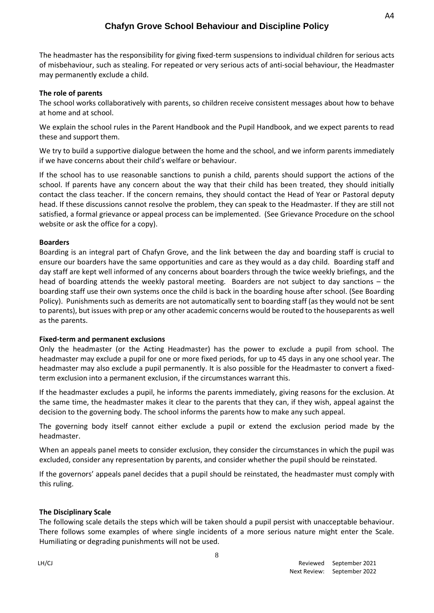The headmaster has the responsibility for giving fixed-term suspensions to individual children for serious acts of misbehaviour, such as stealing. For repeated or very serious acts of anti-social behaviour, the Headmaster may permanently exclude a child.

### **The role of parents**

The school works collaboratively with parents, so children receive consistent messages about how to behave at home and at school.

We explain the school rules in the Parent Handbook and the Pupil Handbook, and we expect parents to read these and support them.

We try to build a supportive dialogue between the home and the school, and we inform parents immediately if we have concerns about their child's welfare or behaviour.

If the school has to use reasonable sanctions to punish a child, parents should support the actions of the school. If parents have any concern about the way that their child has been treated, they should initially contact the class teacher. If the concern remains, they should contact the Head of Year or Pastoral deputy head. If these discussions cannot resolve the problem, they can speak to the Headmaster. If they are still not satisfied, a formal grievance or appeal process can be implemented. (See Grievance Procedure on the school website or ask the office for a copy).

### **Boarders**

Boarding is an integral part of Chafyn Grove, and the link between the day and boarding staff is crucial to ensure our boarders have the same opportunities and care as they would as a day child. Boarding staff and day staff are kept well informed of any concerns about boarders through the twice weekly briefings, and the head of boarding attends the weekly pastoral meeting. Boarders are not subject to day sanctions – the boarding staff use their own systems once the child is back in the boarding house after school. (See Boarding Policy). Punishments such as demerits are not automatically sent to boarding staff (as they would not be sent to parents), but issues with prep or any other academic concerns would be routed to the houseparents as well as the parents.

#### **Fixed-term and permanent exclusions**

Only the headmaster (or the Acting Headmaster) has the power to exclude a pupil from school. The headmaster may exclude a pupil for one or more fixed periods, for up to 45 days in any one school year. The headmaster may also exclude a pupil permanently. It is also possible for the Headmaster to convert a fixedterm exclusion into a permanent exclusion, if the circumstances warrant this.

If the headmaster excludes a pupil, he informs the parents immediately, giving reasons for the exclusion. At the same time, the headmaster makes it clear to the parents that they can, if they wish, appeal against the decision to the governing body. The school informs the parents how to make any such appeal.

The governing body itself cannot either exclude a pupil or extend the exclusion period made by the headmaster.

When an appeals panel meets to consider exclusion, they consider the circumstances in which the pupil was excluded, consider any representation by parents, and consider whether the pupil should be reinstated.

If the governors' appeals panel decides that a pupil should be reinstated, the headmaster must comply with this ruling.

#### **The Disciplinary Scale**

The following scale details the steps which will be taken should a pupil persist with unacceptable behaviour. There follows some examples of where single incidents of a more serious nature might enter the Scale. Humiliating or degrading punishments will not be used.